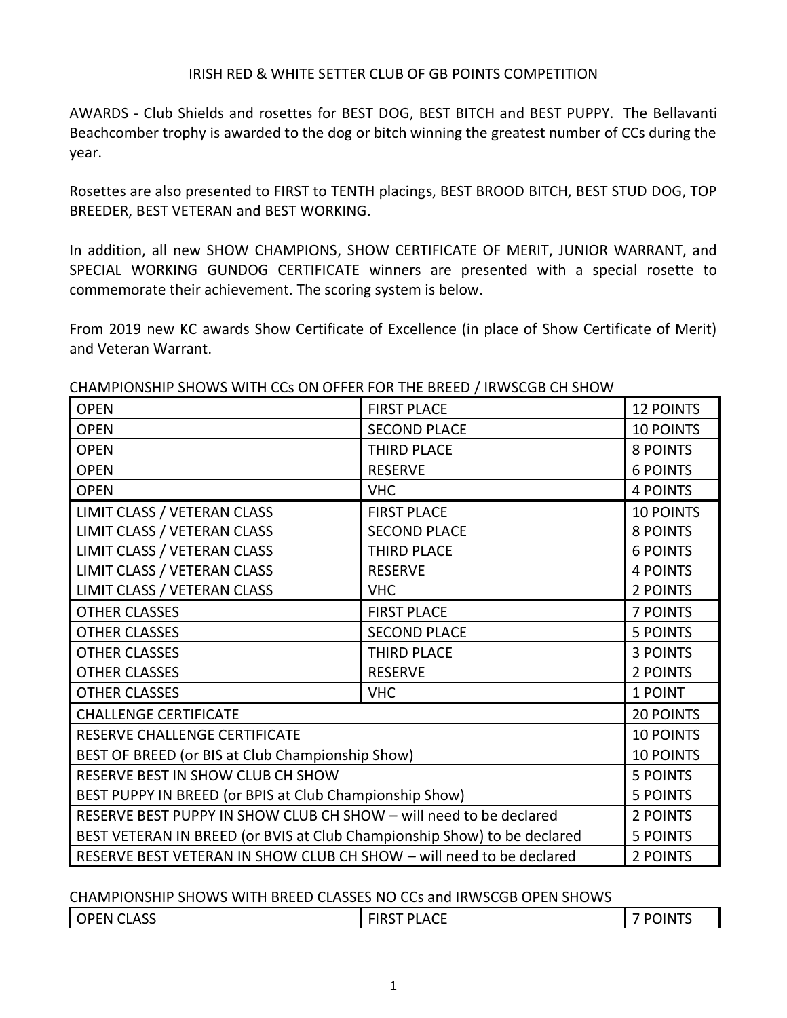AWARDS - Club Shields and rosettes for BEST DOG, BEST BITCH and BEST PUPPY. The Bellavanti Beachcomber trophy is awarded to the dog or bitch winning the greatest number of CCs during the year.

Rosettes are also presented to FIRST to TENTH placings, BEST BROOD BITCH, BEST STUD DOG, TOP BREEDER, BEST VETERAN and BEST WORKING.

In addition, all new SHOW CHAMPIONS, SHOW CERTIFICATE OF MERIT, JUNIOR WARRANT, and SPECIAL WORKING GUNDOG CERTIFICATE winners are presented with a special rosette to commemorate their achievement. The scoring system is below.

From 2019 new KC awards Show Certificate of Excellence (in place of Show Certificate of Merit) and Veteran Warrant.

| <b>OPEN</b>                                                              | <b>FIRST PLACE</b>  | <b>12 POINTS</b> |
|--------------------------------------------------------------------------|---------------------|------------------|
| <b>OPEN</b>                                                              | <b>SECOND PLACE</b> | <b>10 POINTS</b> |
| <b>OPEN</b>                                                              | <b>THIRD PLACE</b>  | 8 POINTS         |
| <b>OPEN</b>                                                              | <b>RESERVE</b>      | <b>6 POINTS</b>  |
| <b>OPEN</b>                                                              | <b>VHC</b>          | <b>4 POINTS</b>  |
| LIMIT CLASS / VETERAN CLASS                                              | <b>FIRST PLACE</b>  | <b>10 POINTS</b> |
| LIMIT CLASS / VETERAN CLASS                                              | <b>SECOND PLACE</b> | <b>8 POINTS</b>  |
| LIMIT CLASS / VETERAN CLASS                                              | <b>THIRD PLACE</b>  | <b>6 POINTS</b>  |
| LIMIT CLASS / VETERAN CLASS                                              | <b>RESERVE</b>      | <b>4 POINTS</b>  |
| LIMIT CLASS / VETERAN CLASS                                              | <b>VHC</b>          | 2 POINTS         |
| <b>OTHER CLASSES</b>                                                     | <b>FIRST PLACE</b>  | <b>7 POINTS</b>  |
| <b>OTHER CLASSES</b>                                                     | <b>SECOND PLACE</b> | <b>5 POINTS</b>  |
| <b>OTHER CLASSES</b>                                                     | <b>THIRD PLACE</b>  | <b>3 POINTS</b>  |
| <b>OTHER CLASSES</b>                                                     | <b>RESERVE</b>      | 2 POINTS         |
| <b>OTHER CLASSES</b>                                                     | <b>VHC</b>          | 1 POINT          |
| <b>CHALLENGE CERTIFICATE</b>                                             |                     | <b>20 POINTS</b> |
| RESERVE CHALLENGE CERTIFICATE                                            |                     | <b>10 POINTS</b> |
| BEST OF BREED (or BIS at Club Championship Show)                         |                     | <b>10 POINTS</b> |
| RESERVE BEST IN SHOW CLUB CH SHOW                                        |                     | <b>5 POINTS</b>  |
| BEST PUPPY IN BREED (or BPIS at Club Championship Show)                  |                     | <b>5 POINTS</b>  |
| RESERVE BEST PUPPY IN SHOW CLUB CH SHOW - will need to be declared       |                     | 2 POINTS         |
| BEST VETERAN IN BREED (or BVIS at Club Championship Show) to be declared |                     | <b>5 POINTS</b>  |
| RESERVE BEST VETERAN IN SHOW CLUB CH SHOW - will need to be declared     |                     | 2 POINTS         |

#### CHAMPIONSHIP SHOWS WITH CCs ON OFFER FOR THE BREED / IRWSCGB CH SHOW

CHAMPIONSHIP SHOWS WITH BREED CLASSES NO CCs and IRWSCGB OPEN SHOWS

OPEN CLASS FIRST PLACE 7 POINTS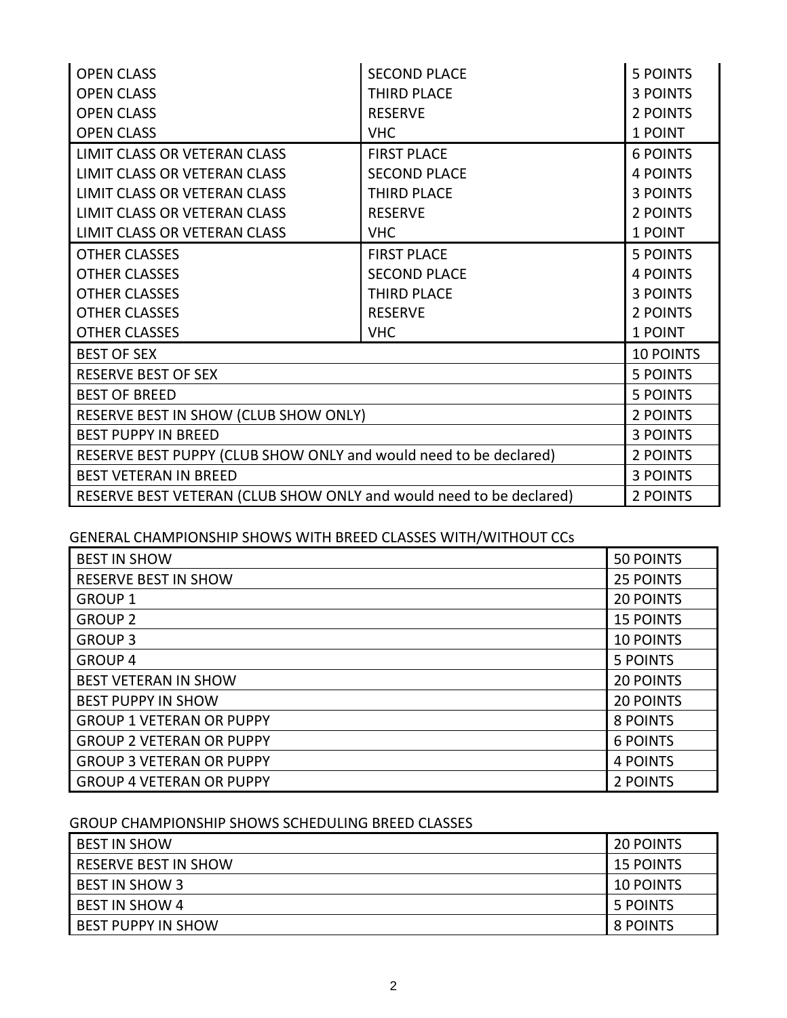| <b>OPEN CLASS</b>                                                   | <b>SECOND PLACE</b> | <b>5 POINTS</b>  |
|---------------------------------------------------------------------|---------------------|------------------|
| <b>OPEN CLASS</b>                                                   | <b>THIRD PLACE</b>  | <b>3 POINTS</b>  |
| <b>OPEN CLASS</b>                                                   | <b>RESERVE</b>      | 2 POINTS         |
| <b>OPEN CLASS</b>                                                   | <b>VHC</b>          | 1 POINT          |
| LIMIT CLASS OR VETERAN CLASS                                        | <b>FIRST PLACE</b>  | <b>6 POINTS</b>  |
| LIMIT CLASS OR VETERAN CLASS                                        | <b>SECOND PLACE</b> | <b>4 POINTS</b>  |
| LIMIT CLASS OR VETERAN CLASS                                        | THIRD PLACE         | <b>3 POINTS</b>  |
| LIMIT CLASS OR VETERAN CLASS                                        | <b>RESERVE</b>      | 2 POINTS         |
| LIMIT CLASS OR VETERAN CLASS                                        | <b>VHC</b>          | 1 POINT          |
| <b>OTHER CLASSES</b>                                                | <b>FIRST PLACE</b>  | <b>5 POINTS</b>  |
| <b>OTHER CLASSES</b>                                                | <b>SECOND PLACE</b> | <b>4 POINTS</b>  |
| <b>OTHER CLASSES</b>                                                | <b>THIRD PLACE</b>  | <b>3 POINTS</b>  |
| <b>OTHER CLASSES</b>                                                | <b>RESERVE</b>      | 2 POINTS         |
| <b>OTHER CLASSES</b>                                                | <b>VHC</b>          | 1 POINT          |
| <b>BEST OF SEX</b>                                                  |                     | <b>10 POINTS</b> |
| <b>RESERVE BEST OF SEX</b>                                          |                     | <b>5 POINTS</b>  |
| <b>BEST OF BREED</b>                                                |                     | <b>5 POINTS</b>  |
| RESERVE BEST IN SHOW (CLUB SHOW ONLY)                               |                     | 2 POINTS         |
| <b>BEST PUPPY IN BREED</b>                                          |                     | 3 POINTS         |
| RESERVE BEST PUPPY (CLUB SHOW ONLY and would need to be declared)   |                     | 2 POINTS         |
| <b>BEST VETERAN IN BREED</b>                                        |                     | <b>3 POINTS</b>  |
| RESERVE BEST VETERAN (CLUB SHOW ONLY and would need to be declared) |                     | 2 POINTS         |

# GENERAL CHAMPIONSHIP SHOWS WITH BREED CLASSES WITH/WITHOUT CCs

| <b>BEST IN SHOW</b>             | <b>50 POINTS</b> |
|---------------------------------|------------------|
| <b>RESERVE BEST IN SHOW</b>     | <b>25 POINTS</b> |
| <b>GROUP 1</b>                  | <b>20 POINTS</b> |
| <b>GROUP 2</b>                  | <b>15 POINTS</b> |
| <b>GROUP 3</b>                  | <b>10 POINTS</b> |
| <b>GROUP 4</b>                  | <b>5 POINTS</b>  |
| <b>BEST VETERAN IN SHOW</b>     | <b>20 POINTS</b> |
| <b>BEST PUPPY IN SHOW</b>       | <b>20 POINTS</b> |
| <b>GROUP 1 VETERAN OR PUPPY</b> | 8 POINTS         |
| <b>GROUP 2 VETERAN OR PUPPY</b> | <b>6 POINTS</b>  |
| <b>GROUP 3 VETERAN OR PUPPY</b> | <b>4 POINTS</b>  |
| <b>GROUP 4 VETERAN OR PUPPY</b> | 2 POINTS         |

## GROUP CHAMPIONSHIP SHOWS SCHEDULING BREED CLASSES

| <b>BEST IN SHOW</b>         | <b>20 POINTS</b> |
|-----------------------------|------------------|
| <b>RESERVE BEST IN SHOW</b> | <b>15 POINTS</b> |
| <b>BEST IN SHOW 3</b>       | <b>10 POINTS</b> |
| <b>BEST IN SHOW 4</b>       | 5 POINTS         |
| <b>BEST PUPPY IN SHOW</b>   | 8 POINTS         |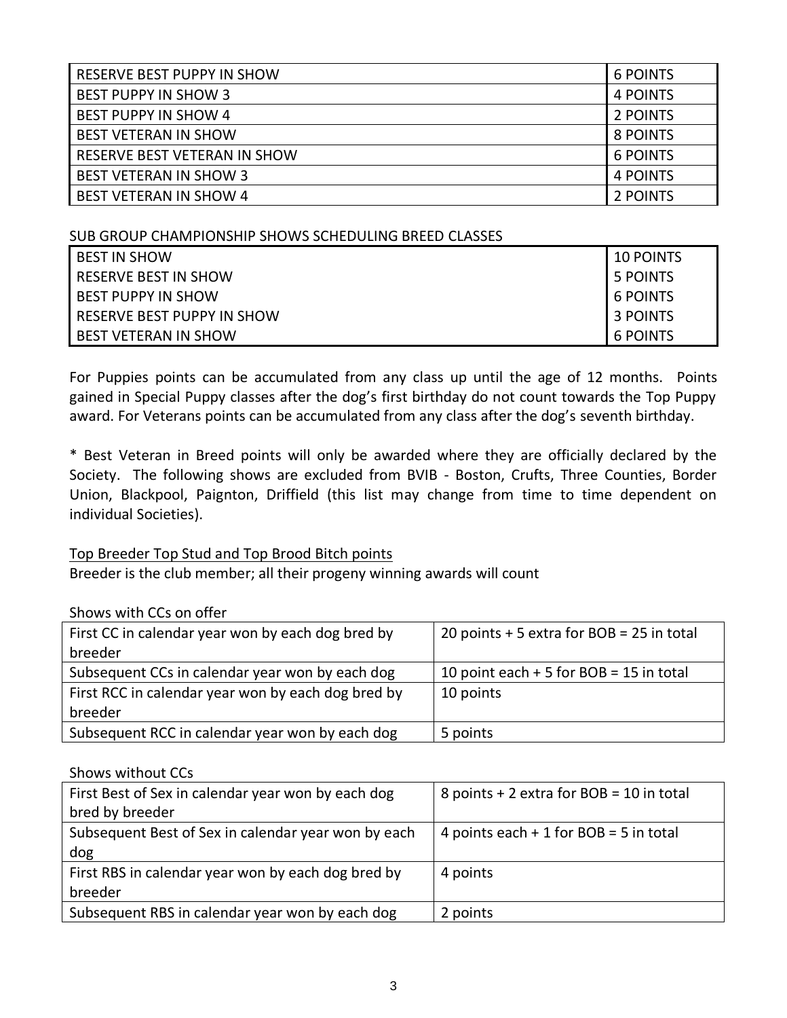| <b>RESERVE BEST PUPPY IN SHOW</b> | 6 POINTS |
|-----------------------------------|----------|
| <b>BEST PUPPY IN SHOW 3</b>       | 4 POINTS |
| <b>BEST PUPPY IN SHOW 4</b>       | 2 POINTS |
| <b>BEST VETERAN IN SHOW</b>       | 8 POINTS |
| RESERVE BEST VETERAN IN SHOW      | 6 POINTS |
| <b>BEST VETERAN IN SHOW 3</b>     | 4 POINTS |
| <b>BEST VETERAN IN SHOW 4</b>     | 2 POINTS |

#### SUB GROUP CHAMPIONSHIP SHOWS SCHEDULING BREED CLASSES

| <b>BEST IN SHOW</b>         | 10 POINTS       |
|-----------------------------|-----------------|
| <b>RESERVE BEST IN SHOW</b> | 5 POINTS        |
| <b>BEST PUPPY IN SHOW</b>   | 6 POINTS        |
| RESERVE BEST PUPPY IN SHOW  | 3 POINTS        |
| <b>BEST VETERAN IN SHOW</b> | <b>6 POINTS</b> |

For Puppies points can be accumulated from any class up until the age of 12 months. Points gained in Special Puppy classes after the dog's first birthday do not count towards the Top Puppy award. For Veterans points can be accumulated from any class after the dog's seventh birthday.

\* Best Veteran in Breed points will only be awarded where they are officially declared by the Society. The following shows are excluded from BVIB - Boston, Crufts, Three Counties, Border Union, Blackpool, Paignton, Driffield (this list may change from time to time dependent on individual Societies).

### Top Breeder Top Stud and Top Brood Bitch points

Breeder is the club member; all their progeny winning awards will count

### Shows with CCs on offer

| First CC in calendar year won by each dog bred by  | 20 points $+5$ extra for BOB = 25 in total |
|----------------------------------------------------|--------------------------------------------|
| breeder                                            |                                            |
| Subsequent CCs in calendar year won by each dog    | 10 point each $+5$ for BOB = 15 in total   |
| First RCC in calendar year won by each dog bred by | 10 points                                  |
| breeder                                            |                                            |
| Subsequent RCC in calendar year won by each dog    | 5 points                                   |

#### Shows without CCs

| First Best of Sex in calendar year won by each dog  | 8 points $+ 2$ extra for BOB = 10 in total |
|-----------------------------------------------------|--------------------------------------------|
| bred by breeder                                     |                                            |
| Subsequent Best of Sex in calendar year won by each | 4 points each $+1$ for BOB = 5 in total    |
| dog                                                 |                                            |
| First RBS in calendar year won by each dog bred by  | 4 points                                   |
| breeder                                             |                                            |
| Subsequent RBS in calendar year won by each dog     | 2 points                                   |